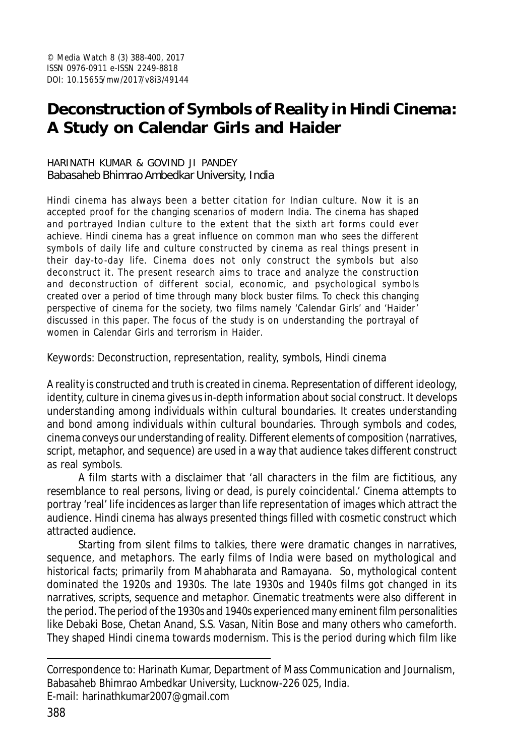# **Deconstruction of Symbols of Reality in Hindi Cinema: A Study on** *Calendar Girls* **and** *Haider*

#### HARINATH KUMAR & GOVIND JI PANDEY Babasaheb Bhimrao Ambedkar University, India

Hindi cinema has always been a better citation for Indian culture. Now it is an accepted proof for the changing scenarios of modern India. The cinema has shaped and portrayed Indian culture to the extent that the sixth art forms could ever achieve. Hindi cinema has a great influence on common man who sees the different symbols of daily life and culture constructed by cinema as real things present in their day-to-day life. Cinema does not only construct the symbols but also deconstruct it. The present research aims to trace and analyze the construction and deconstruction of different social, economic, and psychological symbols created over a period of time through many block buster films. To check this changing perspective of cinema for the society, two films namely 'Calendar Girls' and 'Haider' discussed in this paper. The focus of the study is on understanding the portrayal of women in *Calendar Girls* and terrorism in *Haider*.

Keywords: Deconstruction, representation, reality, symbols, Hindi cinema

A reality is constructed and truth is created in cinema. Representation of different ideology, identity, culture in cinema gives us in-depth information about social construct. It develops understanding among individuals within cultural boundaries. It creates understanding and bond among individuals within cultural boundaries. Through symbols and codes, cinema conveys our understanding of reality. Different elements of composition (narratives, script, metaphor, and sequence) are used in a way that audience takes different construct as real symbols.

A film starts with a disclaimer that 'all characters in the film are fictitious, any resemblance to real persons, living or dead, is purely coincidental.' Cinema attempts to portray 'real' life incidences as larger than life representation of images which attract the audience. Hindi cinema has always presented things filled with cosmetic construct which attracted audience.

Starting from silent films to talkies, there were dramatic changes in narratives, sequence, and metaphors. The early films of India were based on mythological and historical facts; primarily from Mahabharata and Ramayana. So, mythological content dominated the 1920s and 1930s. The late 1930s and 1940s films got changed in its narratives, scripts, sequence and metaphor. Cinematic treatments were also different in the period. The period of the 1930s and 1940s experienced many eminent film personalities like Debaki Bose, Chetan Anand, S.S. Vasan, Nitin Bose and many others who cameforth. They shaped Hindi cinema towards modernism. This is the period during which film like

Correspondence to: Harinath Kumar, Department of Mass Communication and Journalism, Babasaheb Bhimrao Ambedkar University, Lucknow-226 025, India.

E-mail: harinathkumar2007@gmail.com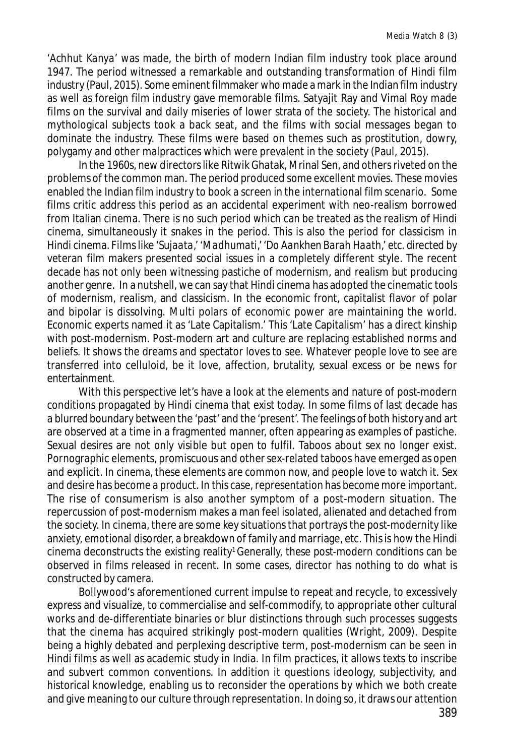'*Achhut Kanya*' was made, the birth of modern Indian film industry took place around 1947. The period witnessed a remarkable and outstanding transformation of Hindi film industry (Paul, 2015). Some eminent filmmaker who made a mark in the Indian film industry as well as foreign film industry gave memorable films. Satyajit Ray and Vimal Roy made films on the survival and daily miseries of lower strata of the society. The historical and mythological subjects took a back seat, and the films with social messages began to dominate the industry. These films were based on themes such as prostitution, dowry, polygamy and other malpractices which were prevalent in the society (Paul, 2015).

In the 1960s, new directors like Ritwik Ghatak, Mrinal Sen, and others riveted on the problems of the common man. The period produced some excellent movies. These movies enabled the Indian film industry to book a screen in the international film scenario. Some films critic address this period as an accidental experiment with neo-realism borrowed from Italian cinema. There is no such period which can be treated as the realism of Hindi cinema, simultaneously it snakes in the period. This is also the period for classicism in Hindi cinema. Films like '*Sujaata*,' '*Madhumati*,' '*Do Aankhen Barah Haath*,' etc. directed by veteran film makers presented social issues in a completely different style. The recent decade has not only been witnessing pastiche of modernism, and realism but producing another genre. In a nutshell, we can say that Hindi cinema has adopted the cinematic tools of modernism, realism, and classicism. In the economic front, capitalist flavor of polar and bipolar is dissolving. Multi polars of economic power are maintaining the world. Economic experts named it as 'Late Capitalism.' This 'Late Capitalism' has a direct kinship with post-modernism. Post-modern art and culture are replacing established norms and beliefs. It shows the dreams and spectator loves to see. Whatever people love to see are transferred into celluloid, be it love, affection, brutality, sexual excess or be news for entertainment.

With this perspective let's have a look at the elements and nature of post-modern conditions propagated by Hindi cinema that exist today. In some films of last decade has a blurred boundary between the 'past' and the 'present'. The feelings of both history and art are observed at a time in a fragmented manner, often appearing as examples of pastiche. Sexual desires are not only visible but open to fulfil. Taboos about sex no longer exist. Pornographic elements, promiscuous and other sex-related taboos have emerged as open and explicit. In cinema, these elements are common now, and people love to watch it. Sex and desire has become a product. In this case, representation has become more important. The rise of consumerism is also another symptom of a post-modern situation. The repercussion of post-modernism makes a man feel isolated, alienated and detached from the society. In cinema, there are some key situations that portrays the post-modernity like anxiety, emotional disorder, a breakdown of family and marriage, etc. This is how the Hindi cinema deconstructs the existing reality<sup>1</sup> Generally, these post-modern conditions can be observed in films released in recent. In some cases, director has nothing to do what is constructed by camera.

Bollywood's aforementioned current impulse to repeat and recycle, to excessively express and visualize, to commercialise and self-commodify, to appropriate other cultural works and de-differentiate binaries or blur distinctions through such processes suggests that the cinema has acquired strikingly post-modern qualities (Wright, 2009). Despite being a highly debated and perplexing descriptive term, post-modernism can be seen in Hindi films as well as academic study in India. In film practices, it allows texts to inscribe and subvert common conventions. In addition it questions ideology, subjectivity, and historical knowledge, enabling us to reconsider the operations by which we both create and give meaning to our culture through representation. In doing so, it draws our attention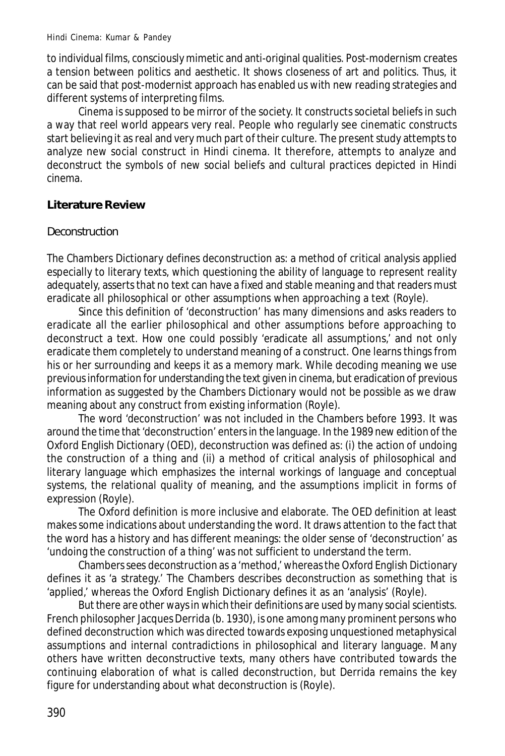to individual films, consciously mimetic and anti-original qualities. Post-modernism creates a tension between politics and aesthetic. It shows closeness of art and politics. Thus, it can be said that post-modernist approach has enabled us with new reading strategies and different systems of interpreting films.

Cinema is supposed to be mirror of the society. It constructs societal beliefs in such a way that reel world appears very real. People who regularly see cinematic constructs start believing it as real and very much part of their culture. The present study attempts to analyze new social construct in Hindi cinema. It therefore, attempts to analyze and deconstruct the symbols of new social beliefs and cultural practices depicted in Hindi cinema.

## **Literature Review**

#### **Deconstruction**

The Chambers Dictionary defines deconstruction as: a method of critical analysis applied especially to literary texts, which questioning the ability of language to represent reality adequately, asserts that no text can have a fixed and stable meaning and that readers must eradicate all philosophical or other assumptions when approaching a text (Royle).

Since this definition of 'deconstruction' has many dimensions and asks readers to eradicate all the earlier philosophical and other assumptions before approaching to deconstruct a text. How one could possibly 'eradicate all assumptions,' and not only eradicate them completely to understand meaning of a construct. One learns things from his or her surrounding and keeps it as a memory mark. While decoding meaning we use previous information for understanding the text given in cinema, but eradication of previous information as suggested by the Chambers Dictionary would not be possible as we draw meaning about any construct from existing information (Royle).

The word 'deconstruction' was not included in the Chambers before 1993. It was around the time that 'deconstruction' enters in the language. In the 1989 new edition of the Oxford English Dictionary (OED), deconstruction was defined as: (i) the action of undoing the construction of a thing and (ii) a method of critical analysis of philosophical and literary language which emphasizes the internal workings of language and conceptual systems, the relational quality of meaning, and the assumptions implicit in forms of expression (Royle).

The Oxford definition is more inclusive and elaborate. The OED definition at least makes some indications about understanding the word. It draws attention to the fact that the word has a history and has different meanings: the older sense of 'deconstruction' as 'undoing the construction of a thing' was not sufficient to understand the term.

Chambers sees deconstruction as a 'method,' whereas the Oxford English Dictionary defines it as 'a strategy.' The Chambers describes deconstruction as something that is 'applied,' whereas the Oxford English Dictionary defines it as an 'analysis' (Royle).

But there are other ways in which their definitions are used by many social scientists. French philosopher Jacques Derrida (b. 1930), is one among many prominent persons who defined deconstruction which was directed towards exposing unquestioned metaphysical assumptions and internal contradictions in philosophical and literary language. Many others have written deconstructive texts, many others have contributed towards the continuing elaboration of what is called deconstruction, but Derrida remains the key figure for understanding about what deconstruction is (Royle).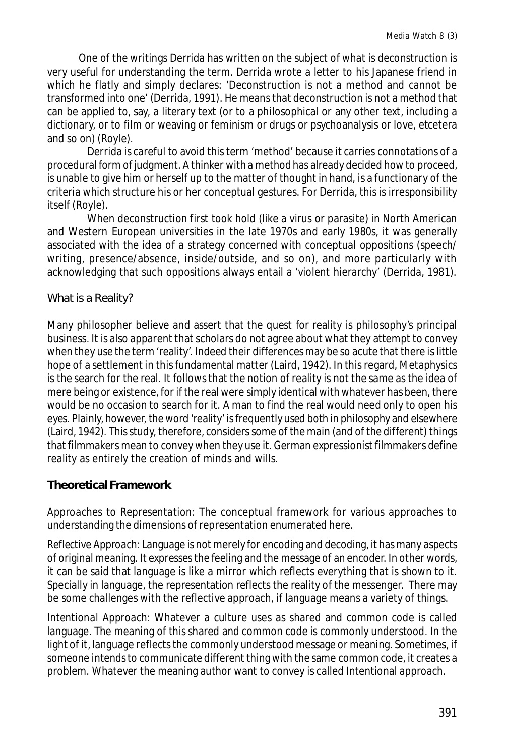One of the writings Derrida has written on the subject of what is deconstruction is very useful for understanding the term. Derrida wrote a letter to his Japanese friend in which he flatly and simply declares: 'Deconstruction is not a method and cannot be transformed into one' (Derrida, 1991). He means that deconstruction is not a method that can be applied to, say, a literary text (or to a philosophical or any other text, including a dictionary, or to film or weaving or feminism or drugs or psychoanalysis or love, etcetera and so on) (Royle).

Derrida is careful to avoid this term 'method' because it carries connotations of a procedural form of judgment. A thinker with a method has already decided how to proceed, is unable to give him or herself up to the matter of thought in hand, is a functionary of the criteria which structure his or her conceptual gestures. For Derrida, this is irresponsibility itself (Royle).

When deconstruction first took hold (like a virus or parasite) in North American and Western European universities in the late 1970s and early 1980s, it was generally associated with the idea of a strategy concerned with conceptual oppositions (speech/ writing, presence/absence, inside/outside, and so on), and more particularly with acknowledging that such oppositions always entail a 'violent hierarchy' (Derrida, 1981).

#### What is a Reality?

Many philosopher believe and assert that the quest for reality is philosophy's principal business. It is also apparent that scholars do not agree about what they attempt to convey when they use the term 'reality'. Indeed their differences may be so acute that there is little hope of a settlement in this fundamental matter (Laird, 1942). In this regard, Metaphysics is the search for the real. It follows that the notion of reality is not the same as the idea of mere being or existence, for if the real were simply identical with whatever has been, there would be no occasion to search for it. A man to find the real would need only to open his eyes. Plainly, however, the word 'reality' is frequently used both in philosophy and elsewhere (Laird, 1942). This study, therefore, considers some of the main (and of the different) things that filmmakers mean to convey when they use it. German expressionist filmmakers define reality as entirely the creation of minds and wills.

## **Theoretical Framework**

*Approaches to Representation*: The conceptual framework for various approaches to understanding the dimensions of representation enumerated here.

*Reflective Approach*: Language is not merely for encoding and decoding, it has many aspects of original meaning. It expresses the feeling and the message of an encoder. In other words, it can be said that language is like a mirror which reflects everything that is shown to it. Specially in language, the representation reflects the reality of the messenger. There may be some challenges with the reflective approach, if language means a variety of things.

*Intentional Approach*: Whatever a culture uses as shared and common code is called language. The meaning of this shared and common code is commonly understood. In the light of it, language reflects the commonly understood message or meaning. Sometimes, if someone intends to communicate different thing with the same common code, it creates a problem. Whatever the meaning author want to convey is called Intentional approach.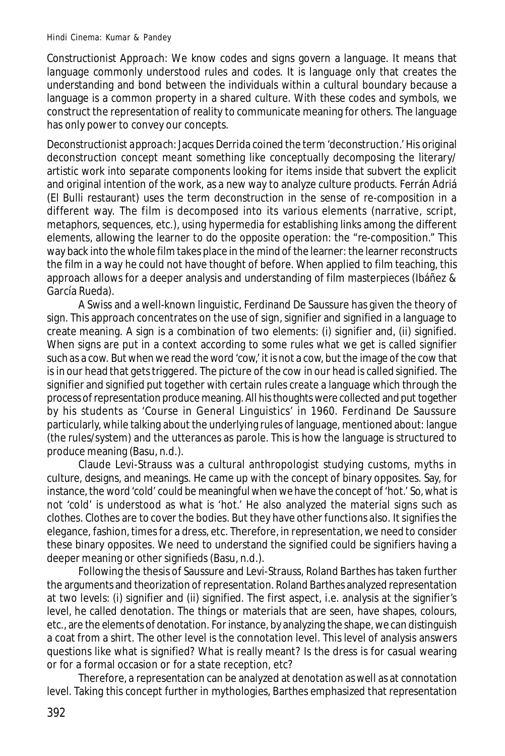*Constructionist Approach*: We know codes and signs govern a language. It means that language commonly understood rules and codes. It is language only that creates the understanding and bond between the individuals within a cultural boundary because a language is a common property in a shared culture. With these codes and symbols, we construct the representation of reality to communicate meaning for others. The language has only power to convey our concepts.

*Deconstructionist approach*: Jacques Derrida coined the term 'deconstruction.' His original deconstruction concept meant something like conceptually decomposing the literary/ artistic work into separate components looking for items inside that subvert the explicit and original intention of the work, as a new way to analyze culture products. Ferrán Adriá (El Bulli restaurant) uses the term deconstruction in the sense of re-composition in a different way. The film is decomposed into its various elements (narrative, script, metaphors, sequences, etc.), using hypermedia for establishing links among the different elements, allowing the learner to do the opposite operation: the "re-composition." This way back into the whole film takes place in the mind of the learner: the learner reconstructs the film in a way he could not have thought of before. When applied to film teaching, this approach allows for a deeper analysis and understanding of film masterpieces (Ibáñez & García Rueda).

A Swiss and a well-known linguistic, Ferdinand De Saussure has given the theory of sign. This approach concentrates on the use of sign, signifier and signified in a language to create meaning. A sign is a combination of two elements: (i) signifier and, (ii) signified. When signs are put in a context according to some rules what we get is called signifier such as a cow. But when we read the word 'cow,' it is not a cow, but the image of the cow that is in our head that gets triggered. The picture of the cow in our head is called signified. The signifier and signified put together with certain rules create a language which through the process of representation produce meaning. All his thoughts were collected and put together by his students as 'Course in General Linguistics' in 1960. Ferdinand De Saussure particularly, while talking about the underlying rules of language, mentioned about: langue (the rules/system) and the utterances as parole. This is how the language is structured to produce meaning (Basu, n.d.).

Claude Levi-Strauss was a cultural anthropologist studying customs, myths in culture, designs, and meanings. He came up with the concept of binary opposites. Say, for instance, the word 'cold' could be meaningful when we have the concept of 'hot.' So, what is not 'cold' is understood as what is 'hot.' He also analyzed the material signs such as clothes. Clothes are to cover the bodies. But they have other functions also. It signifies the elegance, fashion, times for a dress, etc. Therefore, in representation, we need to consider these binary opposites. We need to understand the signified could be signifiers having a deeper meaning or other signifieds (Basu, n.d.).

Following the thesis of Saussure and Levi-Strauss, Roland Barthes has taken further the arguments and theorization of representation. Roland Barthes analyzed representation at two levels: (i) signifier and (ii) signified. The first aspect, i.e. analysis at the signifier's level, he called denotation. The things or materials that are seen, have shapes, colours, etc., are the elements of denotation. For instance, by analyzing the shape, we can distinguish a coat from a shirt. The other level is the connotation level. This level of analysis answers questions like what is signified? What is really meant? Is the dress is for casual wearing or for a formal occasion or for a state reception, etc?

Therefore, a representation can be analyzed at denotation as well as at connotation level. Taking this concept further in mythologies, Barthes emphasized that representation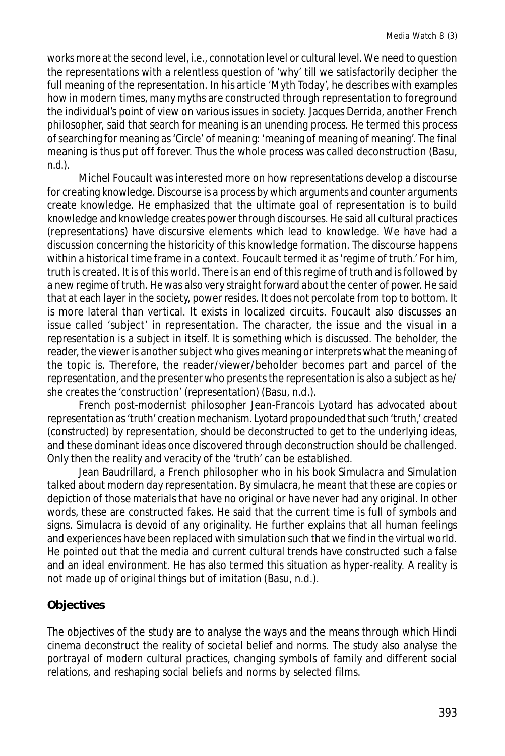works more at the second level, i.e., connotation level or cultural level. We need to question the representations with a relentless question of 'why' till we satisfactorily decipher the full meaning of the representation. In his article 'Myth Today', he describes with examples how in modern times, many myths are constructed through representation to foreground the individual's point of view on various issues in society. Jacques Derrida, another French philosopher, said that search for meaning is an unending process. He termed this process of searching for meaning as 'Circle' of meaning: 'meaning of meaning of meaning'. The final meaning is thus put off forever. Thus the whole process was called deconstruction (Basu, n.d.).

Michel Foucault was interested more on how representations develop a discourse for creating knowledge. Discourse is a process by which arguments and counter arguments create knowledge. He emphasized that the ultimate goal of representation is to build knowledge and knowledge creates power through discourses. He said all cultural practices (representations) have discursive elements which lead to knowledge. We have had a discussion concerning the historicity of this knowledge formation. The discourse happens within a historical time frame in a context. Foucault termed it as 'regime of truth.' For him, truth is created. It is of this world. There is an end of this regime of truth and is followed by a new regime of truth. He was also very straight forward about the center of power. He said that at each layer in the society, power resides. It does not percolate from top to bottom. It is more lateral than vertical. It exists in localized circuits. Foucault also discusses an issue called 'subject' in representation. The character, the issue and the visual in a representation is a subject in itself. It is something which is discussed. The beholder, the reader, the viewer is another subject who gives meaning or interprets what the meaning of the topic is. Therefore, the reader/viewer/beholder becomes part and parcel of the representation, and the presenter who presents the representation is also a subject as he/ she creates the 'construction' (representation) (Basu, n.d.).

French post-modernist philosopher Jean-Francois Lyotard has advocated about representation as 'truth' creation mechanism. Lyotard propounded that such 'truth,' created (constructed) by representation, should be deconstructed to get to the underlying ideas, and these dominant ideas once discovered through deconstruction should be challenged. Only then the reality and veracity of the 'truth' can be established.

Jean Baudrillard, a French philosopher who in his book Simulacra and Simulation talked about modern day representation. By simulacra, he meant that these are copies or depiction of those materials that have no original or have never had any original. In other words, these are constructed fakes. He said that the current time is full of symbols and signs. Simulacra is devoid of any originality. He further explains that all human feelings and experiences have been replaced with simulation such that we find in the virtual world. He pointed out that the media and current cultural trends have constructed such a false and an ideal environment. He has also termed this situation as hyper-reality. A reality is not made up of original things but of imitation (Basu, n.d.).

# **Objectives**

The objectives of the study are to analyse the ways and the means through which Hindi cinema deconstruct the reality of societal belief and norms. The study also analyse the portrayal of modern cultural practices, changing symbols of family and different social relations, and reshaping social beliefs and norms by selected films.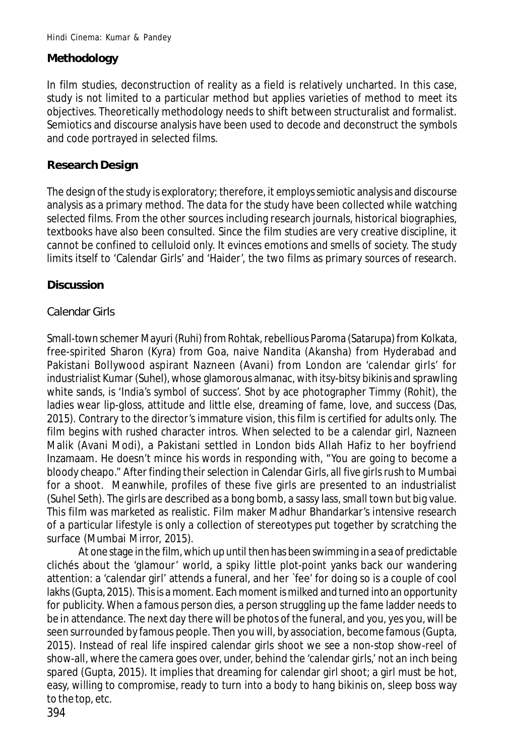## **Methodology**

In film studies, deconstruction of reality as a field is relatively uncharted. In this case, study is not limited to a particular method but applies varieties of method to meet its objectives. Theoretically methodology needs to shift between structuralist and formalist. Semiotics and discourse analysis have been used to decode and deconstruct the symbols and code portrayed in selected films.

#### **Research Design**

The design of the study is exploratory; therefore, it employs semiotic analysis and discourse analysis as a primary method. The data for the study have been collected while watching selected films. From the other sources including research journals, historical biographies, textbooks have also been consulted. Since the film studies are very creative discipline, it cannot be confined to celluloid only. It evinces emotions and smells of society. The study limits itself to 'Calendar Girls' and 'Haider', the two films as primary sources of research.

#### **Discussion**

#### *Calendar Girls*

Small-town schemer Mayuri (Ruhi) from Rohtak, rebellious Paroma (Satarupa) from Kolkata, free-spirited Sharon (Kyra) from Goa, naive Nandita (Akansha) from Hyderabad and Pakistani Bollywood aspirant Nazneen (Avani) from London are 'calendar girls' for industrialist Kumar (Suhel), whose glamorous almanac, with itsy-bitsy bikinis and sprawling white sands, is 'India's symbol of success'. Shot by ace photographer Timmy (Rohit), the ladies wear lip-gloss, attitude and little else, dreaming of fame, love, and success (Das, 2015). Contrary to the director's immature vision, this film is certified for adults only. The film begins with rushed character intros. When selected to be a calendar girl, Nazneen Malik (Avani Modi), a Pakistani settled in London bids Allah Hafiz to her boyfriend Inzamaam. He doesn't mince his words in responding with, "You are going to become a bloody cheapo." After finding their selection in Calendar Girls, all five girls rush to Mumbai for a shoot. Meanwhile, profiles of these five girls are presented to an industrialist (Suhel Seth). The girls are described as a bong bomb, a sassy lass, small town but big value. This film was marketed as realistic. Film maker Madhur Bhandarkar's intensive research of a particular lifestyle is only a collection of stereotypes put together by scratching the surface (Mumbai Mirror, 2015).

At one stage in the film, which up until then has been swimming in a sea of predictable clichés about the 'glamour' world, a spiky little plot-point yanks back our wandering attention: a 'calendar girl' attends a funeral, and her `fee' for doing so is a couple of cool lakhs (Gupta, 2015). This is a moment. Each moment is milked and turned into an opportunity for publicity. When a famous person dies, a person struggling up the fame ladder needs to be in attendance. The next day there will be photos of the funeral, and you, yes you, will be seen surrounded by famous people. Then you will, by association, become famous (Gupta, 2015). Instead of real life inspired calendar girls shoot we see a non-stop show-reel of show-all, where the camera goes over, under, behind the 'calendar girls,' not an inch being spared (Gupta, 2015). It implies that dreaming for calendar girl shoot; a girl must be hot, easy, willing to compromise, ready to turn into a body to hang bikinis on, sleep boss way to the top, etc.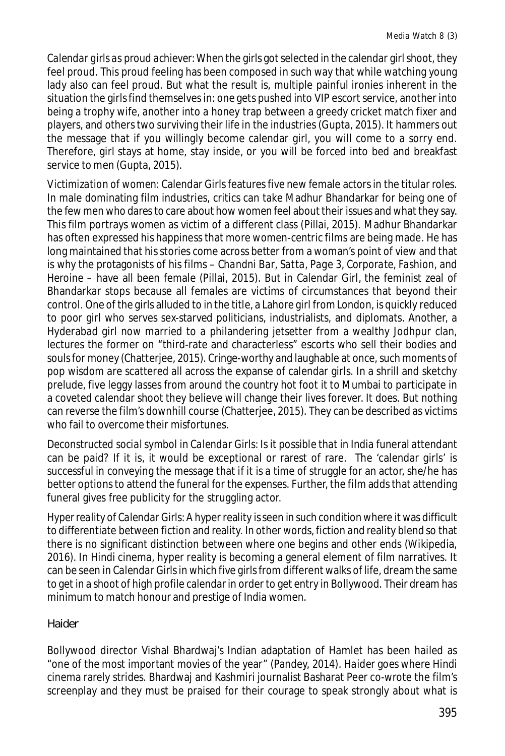*Calendar girls as proud achiever*:When the girls got selected in the calendar girl shoot, they feel proud. This proud feeling has been composed in such way that while watching young lady also can feel proud. But what the result is, multiple painful ironies inherent in the situation the girls find themselves in: one gets pushed into VIP escort service, another into being a trophy wife, another into a honey trap between a greedy cricket match fixer and players, and others two surviving their life in the industries (Gupta, 2015). It hammers out the message that if you willingly become calendar girl, you will come to a sorry end. Therefore, girl stays at home, stay inside, or you will be forced into bed and breakfast service to men (Gupta, 2015).

*Victimization of women*: Calendar Girls features five new female actors in the titular roles. In male dominating film industries, critics can take Madhur Bhandarkar for being one of the few men who dares to care about how women feel about their issues and what they say. This film portrays women as victim of a different class (Pillai, 2015). Madhur Bhandarkar has often expressed his happiness that more women-centric films are being made. He has long maintained that his stories come across better from a woman's point of view and that is why the protagonists of his films – *Chandni Bar*, *Satta*, *Page 3*, *Corporate*, *Fashion*, and *Heroine* – have all been female (Pillai, 2015). But in Calendar Girl, the feminist zeal of Bhandarkar stops because all females are victims of circumstances that beyond their control. One of the girls alluded to in the title, a Lahore girl from London, is quickly reduced to poor girl who serves sex-starved politicians, industrialists, and diplomats. Another, a Hyderabad girl now married to a philandering jetsetter from a wealthy Jodhpur clan, lectures the former on "third-rate and characterless" escorts who sell their bodies and souls for money (Chatterjee, 2015). Cringe-worthy and laughable at once, such moments of pop wisdom are scattered all across the expanse of calendar girls. In a shrill and sketchy prelude, five leggy lasses from around the country hot foot it to Mumbai to participate in a coveted calendar shoot they believe will change their lives forever. It does. But nothing can reverse the film's downhill course (Chatterjee, 2015). They can be described as victims who fail to overcome their misfortunes.

*Deconstructed social symbol in Calendar Girls*: Is it possible that in India funeral attendant can be paid? If it is, it would be exceptional or rarest of rare. The 'calendar girls' is successful in conveying the message that if it is a time of struggle for an actor, she/he has better options to attend the funeral for the expenses. Further, the film adds that attending funeral gives free publicity for the struggling actor.

*Hyper reality of Calendar Girls*:A hyper reality is seen in such condition where it was difficult to differentiate between fiction and reality. In other words, fiction and reality blend so that there is no significant distinction between where one begins and other ends (Wikipedia, 2016). In Hindi cinema, hyper reality is becoming a general element of film narratives. It can be seen in *Calendar Girls* in which five girls from different walks of life, dream the same to get in a shoot of high profile calendar in order to get entry in Bollywood. Their dream has minimum to match honour and prestige of India women.

## *Haider*

Bollywood director Vishal Bhardwaj's Indian adaptation of Hamlet has been hailed as "one of the most important movies of the year" (Pandey, 2014). *Haider* goes where Hindi cinema rarely strides. Bhardwaj and Kashmiri journalist Basharat Peer co-wrote the film's screenplay and they must be praised for their courage to speak strongly about what is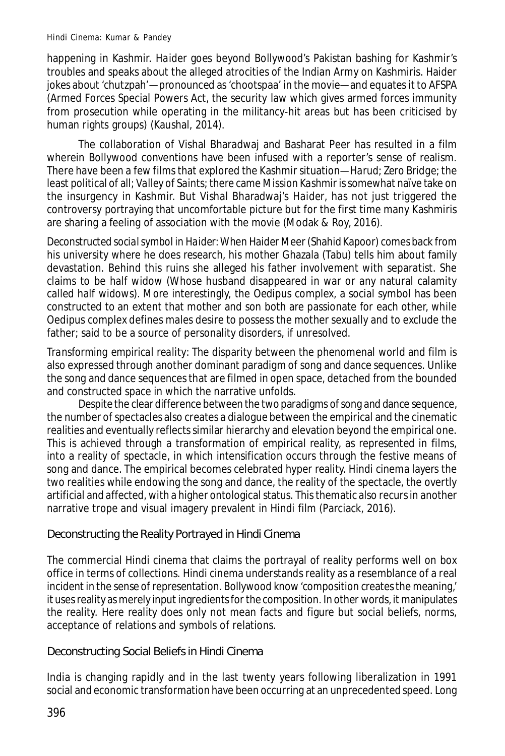happening in Kashmir. *Haider* goes beyond Bollywood's Pakistan bashing for Kashmir's troubles and speaks about the alleged atrocities of the Indian Army on Kashmiris. Haider jokes about 'chutzpah'—pronounced as 'chootspaa' in the movie—and equates it to AFSPA (Armed Forces Special Powers Act, the security law which gives armed forces immunity from prosecution while operating in the militancy-hit areas but has been criticised by human rights groups) (Kaushal, 2014).

The collaboration of Vishal Bharadwaj and Basharat Peer has resulted in a film wherein Bollywood conventions have been infused with a reporter's sense of realism. There have been a few films that explored the Kashmir situation—*Harud*; *Zero Bridge*; the least political of all; *Valley of Saints*; there came *Mission Kashmir* is somewhat naïve take on the insurgency in Kashmir. But Vishal Bharadwaj's *Haider*, has not just triggered the controversy portraying that uncomfortable picture but for the first time many Kashmiris are sharing a feeling of association with the movie (Modak & Roy, 2016).

*Deconstructed social symbol in Haider*:When Haider Meer (Shahid Kapoor) comes back from his university where he does research, his mother Ghazala (Tabu) tells him about family devastation. Behind this ruins she alleged his father involvement with separatist. She claims to be half widow (Whose husband disappeared in war or any natural calamity called half widows). More interestingly, the Oedipus complex, a social symbol has been constructed to an extent that mother and son both are passionate for each other, while Oedipus complex defines males desire to possess the mother sexually and to exclude the father; said to be a source of personality disorders, if unresolved.

*Transforming empirical reality*: The disparity between the phenomenal world and film is also expressed through another dominant paradigm of song and dance sequences. Unlike the song and dance sequences that are filmed in open space, detached from the bounded and constructed space in which the narrative unfolds.

Despite the clear difference between the two paradigms of song and dance sequence, the number of spectacles also creates a dialogue between the empirical and the cinematic realities and eventually reflects similar hierarchy and elevation beyond the empirical one. This is achieved through a transformation of empirical reality, as represented in films, into a reality of spectacle, in which intensification occurs through the festive means of song and dance. The empirical becomes celebrated hyper reality. Hindi cinema layers the two realities while endowing the song and dance, the reality of the spectacle, the overtly artificial and affected, with a higher ontological status. This thematic also recurs in another narrative trope and visual imagery prevalent in Hindi film (Parciack, 2016).

## Deconstructing the Reality Portrayed in Hindi Cinema

The commercial Hindi cinema that claims the portrayal of reality performs well on box office in terms of collections. Hindi cinema understands reality as a resemblance of a real incident in the sense of representation. Bollywood know 'composition creates the meaning,' it uses reality as merely input ingredients for the composition. In other words, it manipulates the reality. Here reality does only not mean facts and figure but social beliefs, norms, acceptance of relations and symbols of relations.

#### Deconstructing Social Beliefs in Hindi Cinema

India is changing rapidly and in the last twenty years following liberalization in 1991 social and economic transformation have been occurring at an unprecedented speed. Long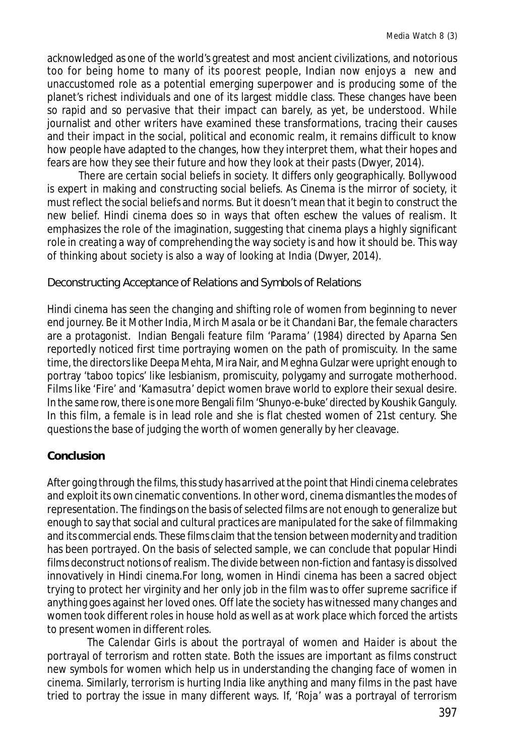acknowledged as one of the world's greatest and most ancient civilizations, and notorious too for being home to many of its poorest people, Indian now enjoys a new and unaccustomed role as a potential emerging superpower and is producing some of the planet's richest individuals and one of its largest middle class. These changes have been so rapid and so pervasive that their impact can barely, as yet, be understood. While journalist and other writers have examined these transformations, tracing their causes and their impact in the social, political and economic realm, it remains difficult to know how people have adapted to the changes, how they interpret them, what their hopes and fears are how they see their future and how they look at their pasts (Dwyer, 2014).

There are certain social beliefs in society. It differs only geographically. Bollywood is expert in making and constructing social beliefs. As Cinema is the mirror of society, it must reflect the social beliefs and norms. But it doesn't mean that it begin to construct the new belief. Hindi cinema does so in ways that often eschew the values of realism. It emphasizes the role of the imagination, suggesting that cinema plays a highly significant role in creating a way of comprehending the way society is and how it should be. This way of thinking about society is also a way of looking at India (Dwyer, 2014).

Deconstructing Acceptance of Relations and Symbols of Relations

Hindi cinema has seen the changing and shifting role of women from beginning to never end journey. Be it *Mother India*, *Mirch Masala* or be it *Chandani Bar*, the female characters are a protagonist. Indian Bengali feature film '*Parama*' (1984) directed by Aparna Sen reportedly noticed first time portraying women on the path of promiscuity. In the same time, the directors like Deepa Mehta, Mira Nair, and Meghna Gulzar were upright enough to portray 'taboo topics' like lesbianism, promiscuity, polygamy and surrogate motherhood. Films like 'Fire' and '*Kamasutra*' depict women brave world to explore their sexual desire. In the same row, there is one more Bengali film '*Shunyo-e-buke*' directed by Koushik Ganguly. In this film, a female is in lead role and she is flat chested women of 21st century. She questions the base of judging the worth of women generally by her cleavage.

## **Conclusion**

After going through the films, this study has arrived at the point that Hindi cinema celebrates and exploit its own cinematic conventions. In other word, cinema dismantles the modes of representation. The findings on the basis of selected films are not enough to generalize but enough to say that social and cultural practices are manipulated for the sake of filmmaking and its commercial ends. These films claim that the tension between modernity and tradition has been portrayed. On the basis of selected sample, we can conclude that popular Hindi films deconstruct notions of realism. The divide between non-fiction and fantasy is dissolved innovatively in Hindi cinema.For long, women in Hindi cinema has been a sacred object trying to protect her virginity and her only job in the film was to offer supreme sacrifice if anything goes against her loved ones. Off late the society has witnessed many changes and women took different roles in house hold as well as at work place which forced the artists to present women in different roles.

The *Calendar Girls* is about the portrayal of women and *Haider* is about the portrayal of terrorism and rotten state. Both the issues are important as films construct new symbols for women which help us in understanding the changing face of women in cinema. Similarly, terrorism is hurting India like anything and many films in the past have tried to portray the issue in many different ways. If, '*Roja*' was a portrayal of terrorism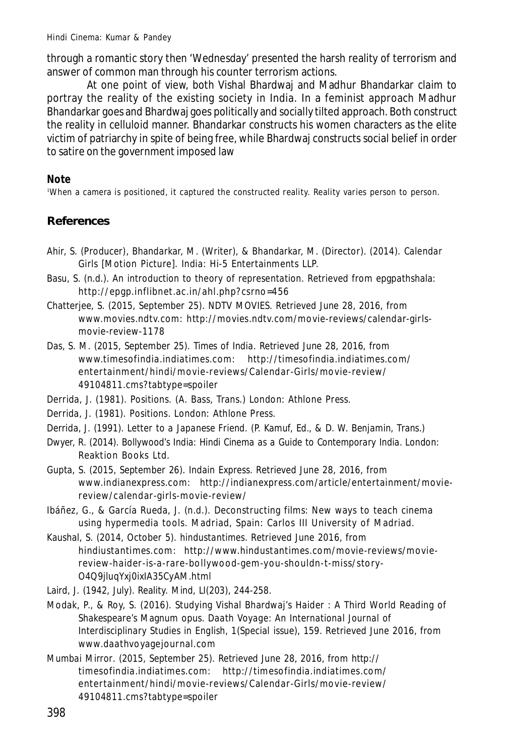through a romantic story then 'Wednesday' presented the harsh reality of terrorism and answer of common man through his counter terrorism actions.

At one point of view, both Vishal Bhardwaj and Madhur Bhandarkar claim to portray the reality of the existing society in India. In a feminist approach Madhur Bhandarkar goes and Bhardwaj goes politically and socially tilted approach. Both construct the reality in celluloid manner. Bhandarkar constructs his women characters as the elite victim of patriarchy in spite of being free, while Bhardwaj constructs social belief in order to satire on the government imposed law

**Note**

<sup>1</sup>When a camera is positioned, it captured the constructed reality. Reality varies person to person.

## **References**

- Ahir, S. (Producer), Bhandarkar, M. (Writer), & Bhandarkar, M. (Director). (2014). *Calendar Girls* [Motion Picture]. India: Hi-5 Entertainments LLP.
- Basu, S. (n.d.). *An introduction to theory of representation*. Retrieved from epgpathshala: http://epgp.inflibnet.ac.in/ahl.php?csrno=456
- Chatterjee, S. (2015, September 25). *NDTV MOVIES*. Retrieved June 28, 2016, from www.movies.ndtv.com: http://movies.ndtv.com/movie-reviews/calendar-girlsmovie-review-1178
- Das, S. M. (2015, September 25). *Times of India*. Retrieved June 28, 2016, from www.timesofindia.indiatimes.com: http://timesofindia.indiatimes.com/ entertainment/hindi/movie-reviews/Calendar-Girls/movie-review/ 49104811.cms?tabtype=spoiler
- Derrida, J. (1981). *Positions.* (A. Bass, Trans.) London: Athlone Press.
- Derrida, J. (1981). *Positions.* London: Athlone Press.
- Derrida, J. (1991). *Letter to a Japanese Friend.* (P. Kamuf, Ed., & D. W. Benjamin, Trans.)
- Dwyer, R. (2014). *Bollywood's India: Hindi Cinema as a Guide to Contemporary India.* London: Reaktion Books Ltd.
- Gupta, S. (2015, September 26). *Indain Express*. Retrieved June 28, 2016, from www.indianexpress.com: http://indianexpress.com/article/entertainment/moviereview/calendar-girls-movie-review/
- Ibáñez, G., & García Rueda, J. (n.d.). Deconstructing films: New ways to teach cinema using hypermedia tools. Madriad, Spain: Carlos III University of Madriad.
- Kaushal, S. (2014, October 5). *hindustantimes*. Retrieved June 2016, from hindiustantimes.com: http://www.hindustantimes.com/movie-reviews/moviereview-haider-is-a-rare-bollywood-gem-you-shouldn-t-miss/story-O4Q9jluqYxj0ixIA35CyAM.html
- Laird, J. (1942, July). Reality. *Mind, LI*(203), 244-258.
- Modak, P., & Roy, S. (2016). Studying Vishal Bhardwaj's Haider : A Third World Reading of Shakespeare's Magnum opus. *Daath Voyage: An International Journal of Interdisciplinary Studies in English, 1*(Special issue), 159. Retrieved June 2016, from www.daathvoyagejournal.com
- *Mumbai Mirror*. (2015, September 25). Retrieved June 28, 2016, from http:// timesofindia.indiatimes.com: http://timesofindia.indiatimes.com/ entertainment/hindi/movie-reviews/Calendar-Girls/movie-review/ 49104811.cms?tabtype=spoiler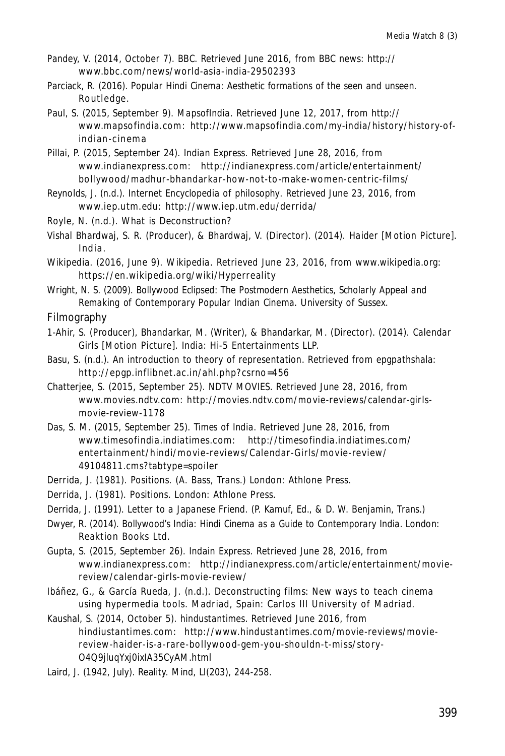- Pandey, V. (2014, October 7). *BBC*. Retrieved June 2016, from BBC news: http:// www.bbc.com/news/world-asia-india-29502393
- Parciack, R. (2016). *Popular Hindi Cinema: Aesthetic formations of the seen and unseen.* Routledge.
- Paul, S. (2015, September 9). *MapsofIndia*. Retrieved June 12, 2017, from http:// www.mapsofindia.com: http://www.mapsofindia.com/my-india/history/history-ofindian-c inem a
- Pillai, P. (2015, September 24). *Indian Express*. Retrieved June 28, 2016, from www.indianexpress.com: http://indianexpress.com/article/entertainment/ bollywood/madhur-bhandarkar-how-not-to-make-women-centric-films/
- Reynolds, J. (n.d.). *Internet Encyclopedia of philosophy*. Retrieved June 23, 2016, from www.iep.utm.edu: http://www.iep.utm.edu/derrida/
- Royle, N. (n.d.). What is Deconstruction?
- Vishal Bhardwaj, S. R. (Producer), & Bhardwaj, V. (Director). (2014). *Haider* [Motion Picture]. India .
- Wikipedia. (2016, June 9). *Wikipedia*. Retrieved June 23, 2016, from www.wikipedia.org: https://en.wikipedia.org/wiki/Hyperreality
- Wright, N. S. (2009). *Bollywood Eclipsed: The Postmodern Aesthetics, Scholarly Appeal and Remaking of Contemporary Popular Indian Cinema.* University of Sussex.
- Filmography
- 1-Ahir, S. (Producer), Bhandarkar, M. (Writer), & Bhandarkar, M. (Director). (2014). *Calendar Girls* [Motion Picture]. India: Hi-5 Entertainments LLP.
- Basu, S. (n.d.). *An introduction to theory of representation*. Retrieved from epgpathshala: http://epgp.inflibnet.ac.in/ahl.php?csrno=456
- Chatterjee, S. (2015, September 25). *NDTV MOVIES*. Retrieved June 28, 2016, from www.movies.ndtv.com: http://movies.ndtv.com/movie-reviews/calendar-girlsmovie-review-1178
- Das, S. M. (2015, September 25). *Times of India*. Retrieved June 28, 2016, from www.timesofindia.indiatimes.com: http://timesofindia.indiatimes.com/ entertainment/hindi/movie-reviews/Calendar-Girls/movie-review/ 49104811.cms?tabtype=spoiler
- Derrida, J. (1981). *Positions.* (A. Bass, Trans.) London: Athlone Press.
- Derrida, J. (1981). *Positions.* London: Athlone Press.
- Derrida, J. (1991). *Letter to a Japanese Friend.* (P. Kamuf, Ed., & D. W. Benjamin, Trans.)
- Dwyer, R. (2014). *Bollywood's India: Hindi Cinema as a Guide to Contemporary India.* London: Reaktion Books Ltd.
- Gupta, S. (2015, September 26). *Indain Express*. Retrieved June 28, 2016, from www.indianexpress.com: http://indianexpress.com/article/entertainment/moviereview/calendar-girls-movie-review/
- Ibáñez, G., & García Rueda, J. (n.d.). Deconstructing films: New ways to teach cinema using hypermedia tools. Madriad, Spain: Carlos III University of Madriad.
- Kaushal, S. (2014, October 5). *hindustantimes*. Retrieved June 2016, from hindiustantimes.com: http://www.hindustantimes.com/movie-reviews/moviereview-haider-is-a-rare-bollywood-gem-you-shouldn-t-miss/story-O4Q9jluqYxj0ixIA35CyAM.html
- Laird, J. (1942, July). Reality. *Mind, LI*(203), 244-258.